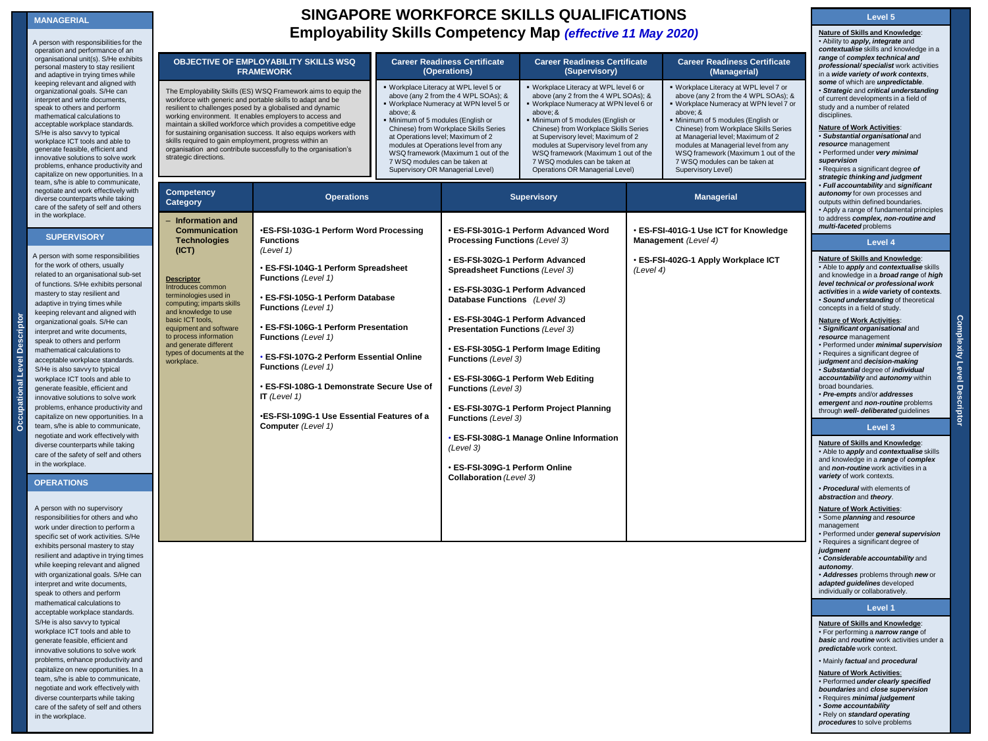### **MANAGERIAL**

A person with responsibilities for the operation and performance of an organisational unit(s). S/He exhibits personal mastery to stay resilient and adaptive in trying times while keeping relevant and aligned with organizational goals. S/He can interpret and write documents, speak to others and perform mathematical calculations to acceptable workplace standards. S/He is also savvy to typical workplace ICT tools and able to generate feasible, efficient and innovative solutions to solve work problems, enhance productivity and capitalize on new opportunities. In a team, s/he is able to communicate, negotiate and work effectively with diverse counterparts while taking care of the safety of self and others in the workplace.

### **SUPERVISORY**

A person with some responsibilities for the work of others, usually related to an organisational sub-set of functions. S/He exhibits personal mastery to stay resilient and adaptive in trying times while keeping relevant and aligned with organizational goals. S/He can interpret and write documents, speak to others and perform mathematical calculations to acceptable workplace standards. S/He is also savvy to typical workplace ICT tools and able to generate feasible, efficient and innovative solutions to solve work problems, enhance productivity and capitalize on new opportunities. In a team, s/he is able to communicate, negotiate and work effectively with diverse counterparts while taking care of the safety of self and others in the workplace.

## **OPERATIONS**

**Occupational Level Descriptor**

Occupational Level

്ട്

**2010** in the workplace. A person with no supervisory responsibilities for others and who work under direction to perform a specific set of work activities. S/He exhibits personal mastery to stay resilient and adaptive in trying times while keeping relevant and aligned with organizational goals. S/He can interpret and write documents, speak to others and perform mathematical calculations to acceptable workplace standards. S/He is also savvy to typical workplace ICT tools and able to generate feasible, efficient and innovative solutions to solve work problems, enhance productivity and capitalize on new opportunities. In a team, s/he is able to communicate, negotiate and work effectively with diverse counterparts while taking care of the safety of self and others

# **SINGAPORE WORKFORCE SKILLS QUALIFICATIONS Employability Skills Competency Map** *(effective 11 May 2020)*

| <b>OBJECTIVE OF EMPLOYABILITY SKILLS WSQ</b><br><b>FRAMEWORK</b>                                                                                                                                                                                                                                                                        |                                                                                                                                                                                                                                                                                                                                                                                                                                                                                             |                                                                                                                                                                                                                                                                                                                                                                                                            | <b>Career Readiness Certificate</b><br>(Operations)                                                                                                                                                                                                                                                                                                                                                     | <b>Career Readiness Certificate</b><br>(Supervisory)                                                                                                                                                                                                                                                                                                                                                          |                   | <b>Career Readiness Certificate</b><br>(Managerial)                                                                                                                                                                                                                                                                                                                                            |  |
|-----------------------------------------------------------------------------------------------------------------------------------------------------------------------------------------------------------------------------------------------------------------------------------------------------------------------------------------|---------------------------------------------------------------------------------------------------------------------------------------------------------------------------------------------------------------------------------------------------------------------------------------------------------------------------------------------------------------------------------------------------------------------------------------------------------------------------------------------|------------------------------------------------------------------------------------------------------------------------------------------------------------------------------------------------------------------------------------------------------------------------------------------------------------------------------------------------------------------------------------------------------------|---------------------------------------------------------------------------------------------------------------------------------------------------------------------------------------------------------------------------------------------------------------------------------------------------------------------------------------------------------------------------------------------------------|---------------------------------------------------------------------------------------------------------------------------------------------------------------------------------------------------------------------------------------------------------------------------------------------------------------------------------------------------------------------------------------------------------------|-------------------|------------------------------------------------------------------------------------------------------------------------------------------------------------------------------------------------------------------------------------------------------------------------------------------------------------------------------------------------------------------------------------------------|--|
| skills required to gain employment, progress within an<br>strategic directions.                                                                                                                                                                                                                                                         | The Employability Skills (ES) WSQ Framework aims to equip the<br>workforce with generic and portable skills to adapt and be<br>resilient to challenges posed by a globalised and dynamic<br>working environment. It enables employers to access and<br>maintain a skilled workforce which provides a competitive edge<br>for sustaining organisation success. It also equips workers with<br>organisation and contribute successfully to the organisation's                                 | . Workplace Literacy at WPL level 5 or<br>above (any 2 from the 4 WPL SOAs); &<br>. Workplace Numeracy at WPN level 5 or<br>above; &<br>Minimum of 5 modules (English or<br>Chinese) from Workplace Skills Series<br>at Operations level; Maximum of 2<br>modules at Operations level from any<br>WSQ framework (Maximum 1 out of the<br>7 WSQ modules can be taken at<br>Supervisory OR Managerial Level) |                                                                                                                                                                                                                                                                                                                                                                                                         | · Workplace Literacy at WPL level 6 or<br>above (any 2 from the 4 WPL SOAs); &<br>· Workplace Numeracy at WPN level 6 or<br>above; &<br>· Minimum of 5 modules (English or<br>Chinese) from Workplace Skills Series<br>at Supervisory level; Maximum of 2<br>modules at Supervisory level from any<br>WSQ framework (Maximum 1 out of the<br>7 WSQ modules can be taken at<br>Operations OR Managerial Level) |                   | · Workplace Literacy at WPL level 7 or<br>above (any 2 from the 4 WPL SOAs); &<br>. Workplace Numeracy at WPN level 7 or<br>above; &<br>· Minimum of 5 modules (English or<br>Chinese) from Workplace Skills Series<br>at Managerial level; Maximum of 2<br>modules at Managerial level from any<br>WSQ framework (Maximum 1 out of the<br>7 WSQ modules can be taken at<br>Supervisory Level) |  |
| <b>Competency</b><br>Category                                                                                                                                                                                                                                                                                                           | <b>Operations</b>                                                                                                                                                                                                                                                                                                                                                                                                                                                                           |                                                                                                                                                                                                                                                                                                                                                                                                            | <b>Supervisory</b>                                                                                                                                                                                                                                                                                                                                                                                      |                                                                                                                                                                                                                                                                                                                                                                                                               | <b>Managerial</b> |                                                                                                                                                                                                                                                                                                                                                                                                |  |
| - Information and<br>Communication<br><b>Technologies</b><br>(ICT)<br><b>Descriptor</b><br>Introduces common<br>terminologies used in<br>computing; imparts skills<br>and knowledge to use<br>basic ICT tools,<br>equipment and software<br>to process information<br>and generate different<br>types of documents at the<br>workplace. | ∙ES-FSI-103G-1 Perform Word Processing<br><b>Functions</b><br>(Level 1)<br>· ES-FSI-104G-1 Perform Spreadsheet<br>Functions (Level 1)<br>• ES-FSI-105G-1 Perform Database<br><b>Functions</b> (Level 1)<br>• ES-FSI-106G-1 Perform Presentation<br><b>Functions</b> (Level 1)<br>• ES-FSI-107G-2 Perform Essential Online<br><b>Functions</b> (Level 1)<br>. ES-FSI-108G-1 Demonstrate Secure Use of<br>IT (Level $1$ )<br>.ES-FSI-109G-1 Use Essential Features of a<br>Computer (Level 1) |                                                                                                                                                                                                                                                                                                                                                                                                            | Processing Functions (Level 3)<br>• ES-FSI-302G-1 Perform Advanced<br>Spreadsheet Functions (Level 3)<br>• ES-FSI-303G-1 Perform Advanced<br>Database Functions (Level 3)<br>• ES-FSI-304G-1 Perform Advanced<br><b>Presentation Functions (Level 3)</b><br>Functions (Level 3)<br>Functions (Level 3)<br>Functions (Level 3)<br>(Level 3)<br>· ES-FSI-309G-1 Perform Online<br>Collaboration (Level 3) | • ES-FSI-301G-1 Perform Advanced Word<br>· ES-FSI-305G-1 Perform Image Editing<br>· ES-FSI-306G-1 Perform Web Editing<br>· ES-FSI-307G-1 Perform Project Planning<br>· ES-FSI-308G-1 Manage Online Information                                                                                                                                                                                                | (Level 4)         | · ES-FSI-401G-1 Use ICT for Knowledge<br>Management (Level 4)<br>· ES-FSI-402G-1 Apply Workplace ICT                                                                                                                                                                                                                                                                                           |  |

**Level 5 Nature of Skills and Knowledge**:

• Ability to *apply, integrate* and *contextualise* skills and knowledge in a *range* of *complex technical and p*<br>*professional/ specialist* work activities  $widees{w}$ *wide variety of work contexts*, *some* of which are *unpredictable*. • *Strategic* and *critical understanding* urrent developments in a field of studied a number of related ,<br>inlines

- **Nature of Work Activities**: • *Substantial organisational* and
- *urce* management
	- Performed under *very minimal*
- *supervision*
- Requires a significant degree *of strategic thinking and judgment*
- *Full accountability* and *significant*
- *autonomy* for own processes and
- outputs within defined boundaries. • Apply a range of fundamental principles
- to address *complex, non-routine and multi-faceted* problems

#### **Level 4**

**Ire of Skills and Knowledge:** • Able to *apply* and *contextualise* skills knowledge in a **broad range** of *high level technical or professional work activities* in a *wide* **variety of contexts**. • *Sound understanding* of theoretical cepts in a field of study. **Nature of Work Activities**: • *Significant organisational* and *<i>urce* management • Performed under *minimal supervision* • Requires a significant degree of j*udgment* and *decision-making <b>bstantial* degree of *individual accountability* and *autonomy* within broad boundaries. • *Pre-empts* and/or *addresses emergent* and *non-routine* problems ugh *well- deliberated* guidelines

**Complexity Level Descriptor**

**Descripto** 

Complexity Level

## **Nature of Skills and Knowledge**:

- le to *apply* and *contextualise* skills knowledge in a *range* of *complex* and *non-routine* work activities in a
- *vety* of work contexts. *<u>ocedural</u>* with elements of
- *abstraction* and *theory*.
- **Nature of Work Activities**: **ome** *planning* and *resource*
- agement
- Performed under *general supervision* equires a significant degree of
- *judgment*
- *Considerable accountability* and *autonomy*.
- *Addresses* problems through *new* or
- *adapted guidelines* developed individually or collaboratively.
- 

## **Level 1**

### **Nature of Skills and Knowledge**:

- For performing a *narrow range* of **basic** and **routine** work activities under a
- *predictable* work context.
- Mainly *factual* and *procedural*
- **Nature of Work Activities**:
- Performed *under clearly specified boundaries* and *close supervision*
- Requires *minimal judgement*
- *Some accountability*
- Rely on *standard operating procedures* to solve problems
-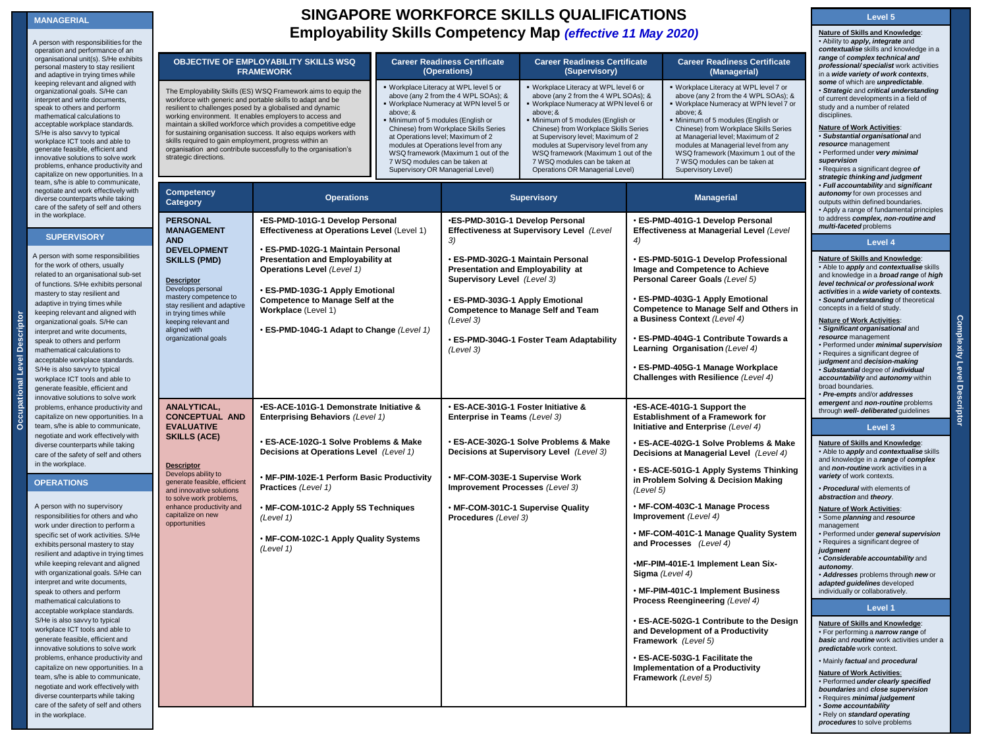### **MANAGERIAL**

A person with responsibilities for th operation and performance of an organisational unit(s). S/He exhibi personal mastery to stay resilient and adaptive in trying times while keeping relevant and aligned with organizational goals. S/He can interpret and write documents, speak to others and perform mathematical calculations to acceptable workplace standards. S/He is also savvy to typical workplace ICT tools and able to generate feasible, efficient and innovative solutions to solve work problems, enhance productivity and capitalize on new opportunities. In team, s/he is able to communicate, negotiate and work effectively with diverse counterparts while taking care of the safety of self and othe in the workplace.

## **SUPERVISORY**

A person with some responsibilities for the work of others, usually related to an organisational sub-s of functions. S/He exhibits person mastery to stay resilient and adaptive in trying times while keeping relevant and aligned with organizational goals. S/He can interpret and write documents, speak to others and perform mathematical calculations to acceptable workplace standards. S/He is also savvy to typical workplace ICT tools and able to generate feasible, efficient and innovative solutions to solve work problems, enhance productivity an capitalize on new opportunities. In team, s/he is able to communicate, negotiate and work effectively with diverse counterparts while taking care of the safety of self and other in the workplace.

## **OPERATIONS**

**Occupational Level Descriptor**

ŏ

്ദ് nal Lev

> A person with no supervisory responsibilities for others and who work under direction to perform a specific set of work activities. S/H exhibits personal mastery to stay resilient and adaptive in trying tim while keeping relevant and aligne with organizational goals. S/He ca interpret and write documents, speak to others and perform mathematical calculations to acceptable workplace standards. S/He is also savvy to typical workplace ICT tools and able to generate feasible, efficient and innovative solutions to solve work problems, enhance productivity and capitalize on new opportunities. In team, s/he is able to communicate, negotiate and work effectively with diverse counterparts while taking care of the safety of self and other in the workplace.

*20 Aug 2010 (Version 10)*

# **SINGAPORE WORKFORCE SKILLS QUALIFICATIONS Employability Skills Competency Map** *(effective 11 May 2020)*

| ۱e             |                                                                                                                                                                                                                                                                                                                                                                                                                                                                                                                                                            |                                                                                                                                                                                                                                                               |                               |                                                                                                                                                                                                                                                                                                                                                                                                                                                                                                                                                                                                                                                                                                                                                                                                                                                                                                                              |                                           |                                                                                                                                                                                                                                                                                                                                                                                              |                                                                                                                                                                                                                            | • Ability to <i>apply, integrate</i> and<br>contextualise skills and knowledge in a                                                                                                                                                                                                                                                                                                                                                                                                                                                                               |  |
|----------------|------------------------------------------------------------------------------------------------------------------------------------------------------------------------------------------------------------------------------------------------------------------------------------------------------------------------------------------------------------------------------------------------------------------------------------------------------------------------------------------------------------------------------------------------------------|---------------------------------------------------------------------------------------------------------------------------------------------------------------------------------------------------------------------------------------------------------------|-------------------------------|------------------------------------------------------------------------------------------------------------------------------------------------------------------------------------------------------------------------------------------------------------------------------------------------------------------------------------------------------------------------------------------------------------------------------------------------------------------------------------------------------------------------------------------------------------------------------------------------------------------------------------------------------------------------------------------------------------------------------------------------------------------------------------------------------------------------------------------------------------------------------------------------------------------------------|-------------------------------------------|----------------------------------------------------------------------------------------------------------------------------------------------------------------------------------------------------------------------------------------------------------------------------------------------------------------------------------------------------------------------------------------------|----------------------------------------------------------------------------------------------------------------------------------------------------------------------------------------------------------------------------|-------------------------------------------------------------------------------------------------------------------------------------------------------------------------------------------------------------------------------------------------------------------------------------------------------------------------------------------------------------------------------------------------------------------------------------------------------------------------------------------------------------------------------------------------------------------|--|
| ts             |                                                                                                                                                                                                                                                                                                                                                                                                                                                                                                                                                            | OBJECTIVE OF EMPLOYABILITY SKILLS WSQ<br><b>FRAMEWORK</b>                                                                                                                                                                                                     |                               | <b>Career Readiness Certificate</b><br><b>Career Readiness Certificate</b><br>(Operations)<br>(Supervisory)<br>. Workplace Literacy at WPL level 5 or<br>. Workplace Literacy at WPL level 6 or<br>above (any 2 from the 4 WPL SOAs); &<br>above (any 2 from the 4 WPL SOAs); &<br>. Workplace Numeracy at WPN level 5 or<br>Workplace Numeracy at WPN level 6 or<br>above; &<br>· Minimum of 5 modules (English or<br>Minimum of 5 modules (English or<br>Chinese) from Workplace Skills Series<br>Chinese) from Workplace Skills Series<br>at Operations level; Maximum of 2<br>at Supervisory level; Maximum of 2<br>modules at Operations level from any<br>modules at Supervisory level from any<br>WSQ framework (Maximum 1 out of the<br>WSQ framework (Maximum 1 out of the<br>7 WSQ modules can be taken at<br>7 WSQ modules can be taken at<br>Supervisory OR Managerial Level)<br>Operations OR Managerial Level) |                                           |                                                                                                                                                                                                                                                                                                                                                                                              | <b>Career Readiness Certificate</b><br>(Managerial)                                                                                                                                                                        | range of complex technical and<br>professional/specialist work activities<br>in a wide variety of work contexts,                                                                                                                                                                                                                                                                                                                                                                                                                                                  |  |
| d<br>ı a       | The Employability Skills (ES) WSQ Framework aims to equip the<br>workforce with generic and portable skills to adapt and be<br>resilient to challenges posed by a globalised and dynamic<br>above; &<br>working environment. It enables employers to access and<br>maintain a skilled workforce which provides a competitive edge<br>for sustaining organisation success. It also equips workers with<br>skills required to gain employment, progress within an<br>organisation and contribute successfully to the organisation's<br>strategic directions. |                                                                                                                                                                                                                                                               |                               |                                                                                                                                                                                                                                                                                                                                                                                                                                                                                                                                                                                                                                                                                                                                                                                                                                                                                                                              |                                           | · Workplace Literacy at WPL level 7 or<br>above (any 2 from the 4 WPL SOAs); &<br>. Workplace Numeracy at WPN level 7 or<br>above; &<br>Minimum of 5 modules (English or<br>Chinese) from Workplace Skills Series<br>at Managerial level; Maximum of 2<br>modules at Managerial level from any<br>WSQ framework (Maximum 1 out of the<br>7 WSQ modules can be taken at<br>Supervisory Level) |                                                                                                                                                                                                                            | some of which are unpredictable.<br>· Strategic and critical understanding<br>of current developments in a field of<br>study and a number of related<br>disciplines.<br><b>Nature of Work Activities:</b><br>· Substantial organisational and<br>resource management<br>· Performed under very minimal<br>supervision<br>· Requires a significant degree of<br>strategic thinking and judgment                                                                                                                                                                    |  |
| Э.<br>rs       | Competency<br>Category                                                                                                                                                                                                                                                                                                                                                                                                                                                                                                                                     | <b>Operations</b>                                                                                                                                                                                                                                             |                               |                                                                                                                                                                                                                                                                                                                                                                                                                                                                                                                                                                                                                                                                                                                                                                                                                                                                                                                              | <b>Supervisory</b>                        |                                                                                                                                                                                                                                                                                                                                                                                              | <b>Managerial</b>                                                                                                                                                                                                          | · Full accountability and significant<br>autonomy for own processes and<br>outputs within defined boundaries.<br>• Apply a range of fundamental principles                                                                                                                                                                                                                                                                                                                                                                                                        |  |
|                | <b>PERSONAL</b><br><b>MANAGEMENT</b><br><b>AND</b>                                                                                                                                                                                                                                                                                                                                                                                                                                                                                                         | .ES-PMD-101G-1 Develop Personal<br>Effectiveness at Operations Level (Level 1)                                                                                                                                                                                |                               | ·ES-PMD-301G-1 Develop Personal<br>3)                                                                                                                                                                                                                                                                                                                                                                                                                                                                                                                                                                                                                                                                                                                                                                                                                                                                                        | Effectiveness at Supervisory Level (Level | 4)                                                                                                                                                                                                                                                                                                                                                                                           | · ES-PMD-401G-1 Develop Personal<br>Effectiveness at Managerial Level (Level                                                                                                                                               | to address complex, non-routine and<br>multi-faceted problems                                                                                                                                                                                                                                                                                                                                                                                                                                                                                                     |  |
| et<br>al       | <b>DEVELOPMENT</b><br><b>SKILLS (PMD)</b><br><b>Descriptor</b><br>Develops personal<br>mastery competence to<br>stay resilient and adaptive<br>in trying times while<br>keeping relevant and<br>aligned with<br>organizational goals                                                                                                                                                                                                                                                                                                                       | • ES-PMD-102G-1 Maintain Personal<br>Presentation and Employability at<br><b>Operations Level (Level 1)</b><br>· ES-PMD-103G-1 Apply Emotional<br><b>Competence to Manage Self at the</b><br>Workplace (Level 1)<br>· ES-PMD-104G-1 Adapt to Change (Level 1) |                               | · ES-PMD-302G-1 Maintain Personal<br>Presentation and Employability at<br>Supervisory Level (Level 3)<br>· ES-PMD-303G-1 Apply Emotional<br><b>Competence to Manage Self and Team</b><br>(Level 3)<br>· ES-PMD-304G-1 Foster Team Adaptability<br>(Level 3)                                                                                                                                                                                                                                                                                                                                                                                                                                                                                                                                                                                                                                                                  |                                           | · ES-PMD-501G-1 Develop Professional<br>Image and Competence to Achieve<br>Personal Career Goals (Level 5)<br>· ES-PMD-403G-1 Apply Emotional<br>Competence to Manage Self and Others in<br>a Business Context (Level 4)<br>· ES-PMD-404G-1 Contribute Towards a<br>Learning Organisation (Level 4)<br>· ES-PMD-405G-1 Manage Workplace                                                      |                                                                                                                                                                                                                            | Level 4<br>Nature of Skills and Knowledge:<br>. Able to <i>apply</i> and <i>contextualise</i> skills<br>and knowledge in a broad range of high<br>level technical or professional work<br>activities in a wide variety of contexts.<br>· Sound understanding of theoretical<br>concepts in a field of study.<br><b>Nature of Work Activities:</b><br>· Significant organisational and<br>resource management<br>· Performed under minimal supervision<br>• Requires a significant degree of<br>judgment and decision-making<br>· Substantial degree of individual |  |
| d<br>۱a<br>Э,  | ANALYTICAL,<br>·ES-ACE-101G-1 Demonstrate Initiative &<br><b>CONCEPTUAL AND</b><br>Enterprising Behaviors (Level 1)<br><b>EVALUATIVE</b><br><b>SKILLS (ACE)</b>                                                                                                                                                                                                                                                                                                                                                                                            |                                                                                                                                                                                                                                                               | Enterprise in Teams (Level 3) |                                                                                                                                                                                                                                                                                                                                                                                                                                                                                                                                                                                                                                                                                                                                                                                                                                                                                                                              | · ES-ACE-301G-1 Foster Initiative &       |                                                                                                                                                                                                                                                                                                                                                                                              | Challenges with Resilience (Level 4)<br>•ES-ACE-401G-1 Support the<br>Establishment of a Framework for<br>Initiative and Enterprise (Level 4)                                                                              | accountability and autonomy within<br>broad boundaries.<br>· Pre-empts and/or addresses<br>emergent and non-routine problems<br>through well- deliberated guidelines<br>Level 3<br>Nature of Skills and Knowledge:<br>. Able to <i>apply</i> and <i>contextualise</i> skills<br>and knowledge in a range of complex<br>and <i>non-routine</i> work activities in a<br>variety of work contexts.<br>· Procedural with elements of<br>abstraction and theory.                                                                                                       |  |
| rs             | <b>Descriptor</b><br>Develops ability to<br>generate feasible, efficient<br>and innovative solutions<br>to solve work problems,                                                                                                                                                                                                                                                                                                                                                                                                                            | • ES-ACE-102G-1 Solve Problems & Make<br>Decisions at Operations Level (Level 1)<br>. MF-PIM-102E-1 Perform Basic Productivity<br>Practices (Level 1)                                                                                                         |                               | • ES-ACE-302G-1 Solve Problems & Make<br>Decisions at Supervisory Level (Level 3)<br>· MF-COM-303E-1 Supervise Work<br>Improvement Processes (Level 3)                                                                                                                                                                                                                                                                                                                                                                                                                                                                                                                                                                                                                                                                                                                                                                       |                                           | (Level 5)                                                                                                                                                                                                                                                                                                                                                                                    | · ES-ACE-402G-1 Solve Problems & Make<br>Decisions at Managerial Level (Level 4)<br>· ES-ACE-501G-1 Apply Systems Thinking<br>in Problem Solving & Decision Making                                                         |                                                                                                                                                                                                                                                                                                                                                                                                                                                                                                                                                                   |  |
| es<br>d        | enhance productivity and<br>capitalize on new<br>opportunities                                                                                                                                                                                                                                                                                                                                                                                                                                                                                             | · MF-COM-101C-2 Apply 5S Techniques<br>(Level 1)<br>. MF-COM-102C-1 Apply Quality Systems<br>(Level 1)                                                                                                                                                        |                               | Procedures (Level 3)                                                                                                                                                                                                                                                                                                                                                                                                                                                                                                                                                                                                                                                                                                                                                                                                                                                                                                         | . MF-COM-301C-1 Supervise Quality         |                                                                                                                                                                                                                                                                                                                                                                                              | · MF-COM-403C-1 Manage Process<br>Improvement (Level 4)<br>• MF-COM-401C-1 Manage Quality System<br>and Processes (Level 4)<br>·MF-PIM-401E-1 Implement Lean Six-<br>Sigma (Level 4)<br>· MF-PIM-401C-1 Implement Business | <b>Nature of Work Activities:</b><br>· Some planning and resource<br>management<br>· Performed under general supervision<br>• Requires a significant degree of<br>judgment<br>· Considerable accountability and<br>autonomy.<br>· Addresses problems through new or<br>adapted guidelines developed<br>individually or collaboratively.                                                                                                                                                                                                                           |  |
|                |                                                                                                                                                                                                                                                                                                                                                                                                                                                                                                                                                            |                                                                                                                                                                                                                                                               |                               |                                                                                                                                                                                                                                                                                                                                                                                                                                                                                                                                                                                                                                                                                                                                                                                                                                                                                                                              |                                           |                                                                                                                                                                                                                                                                                                                                                                                              | Process Reengineering (Level 4)<br>• ES-ACE-502G-1 Contribute to the Design<br>and Development of a Productivity                                                                                                           | Level 1<br>Nature of Skills and Knowledge:<br>· For performing a narrow range of                                                                                                                                                                                                                                                                                                                                                                                                                                                                                  |  |
| ١d<br>۱a<br>rs |                                                                                                                                                                                                                                                                                                                                                                                                                                                                                                                                                            |                                                                                                                                                                                                                                                               |                               |                                                                                                                                                                                                                                                                                                                                                                                                                                                                                                                                                                                                                                                                                                                                                                                                                                                                                                                              |                                           |                                                                                                                                                                                                                                                                                                                                                                                              | Framework (Level 5)<br>● ES-ACE-503G-1 Facilitate the<br>Implementation of a Productivity<br>Framework (Level 5)                                                                                                           | basic and routine work activities under<br>predictable work context.<br>. Mainly factual and procedural<br><b>Nature of Work Activities:</b><br>· Performed under clearly specified<br>boundaries and close supervision<br>· Requires minimal judgement<br>· Some accountability                                                                                                                                                                                                                                                                                  |  |
|                |                                                                                                                                                                                                                                                                                                                                                                                                                                                                                                                                                            |                                                                                                                                                                                                                                                               |                               |                                                                                                                                                                                                                                                                                                                                                                                                                                                                                                                                                                                                                                                                                                                                                                                                                                                                                                                              |                                           |                                                                                                                                                                                                                                                                                                                                                                                              |                                                                                                                                                                                                                            |                                                                                                                                                                                                                                                                                                                                                                                                                                                                                                                                                                   |  |

in a *wide variety of work contexts*, *some* of which are *unpredictable*. • *Strategic* and *critical understanding* te in a field of s ...<br>related **Nature of Work Activities**: • *Substantial organisational* and • Performed under *very minimal*  degree *of strategic thinking and judgment* • *Full accountability* and *significant autonomy* for own processes and outputs within defined boundaries. amental principles to address *complex, non-routine and*  **Level 4 Nature of Skills and Knowledge**: • Able to *apply* and *contextualise* skills and knowledge in a *broad range* of *high level technical or professional work* 

# **Nature of Skills and Knowledge**: • Able to *apply* and *contextualise* skills age of *complex* and *non-routine* work activities in a *<u>Prote</u>*

- ties: • Some *planning* and *resource*
- 
- eral supervision degree of
	- *Considerable accountability* and
- 
- through *new* or *adapted guidelines* developed
- itively.

## **Level 1**

- **Nature of Skills and Knowledge**: *ow range* of *basic* and *routine* work activities under a
- Mainly *factual* and *procedural*
- lies:  $\overline{\mathit{arly}}$  specified *boundaries* and *close supervision*  • Requires *minimal judgement*  • *Some accountability*  • Rely on *standard operating procedures* to solve problems